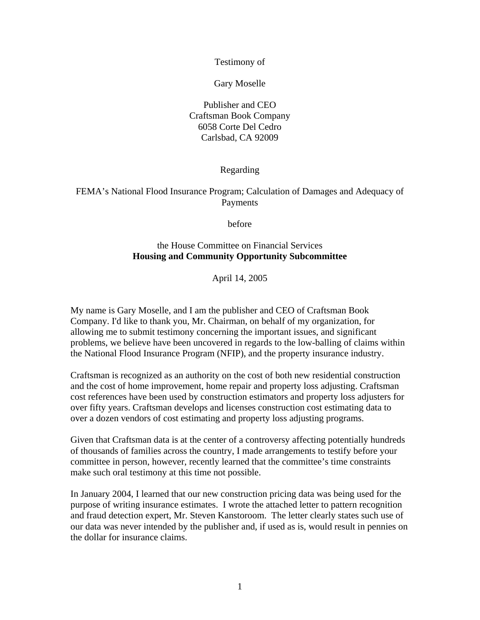Testimony of

Gary Moselle

Publisher and CEO Craftsman Book Company 6058 Corte Del Cedro Carlsbad, CA 92009

Regarding

FEMA's National Flood Insurance Program; Calculation of Damages and Adequacy of Payments

before

## the House Committee on Financial Services **Housing and Community Opportunity Subcommittee**

April 14, 2005

My name is Gary Moselle, and I am the publisher and CEO of Craftsman Book Company. I'd like to thank you, Mr. Chairman, on behalf of my organization, for allowing me to submit testimony concerning the important issues, and significant problems, we believe have been uncovered in regards to the low-balling of claims within the National Flood Insurance Program (NFIP), and the property insurance industry.

Craftsman is recognized as an authority on the cost of both new residential construction and the cost of home improvement, home repair and property loss adjusting. Craftsman cost references have been used by construction estimators and property loss adjusters for over fifty years. Craftsman develops and licenses construction cost estimating data to over a dozen vendors of cost estimating and property loss adjusting programs.

Given that Craftsman data is at the center of a controversy affecting potentially hundreds of thousands of families across the country, I made arrangements to testify before your committee in person, however, recently learned that the committee's time constraints make such oral testimony at this time not possible.

In January 2004, I learned that our new construction pricing data was being used for the purpose of writing insurance estimates. I wrote the attached letter to pattern recognition and fraud detection expert, Mr. Steven Kanstoroom. The letter clearly states such use of our data was never intended by the publisher and, if used as is, would result in pennies on the dollar for insurance claims.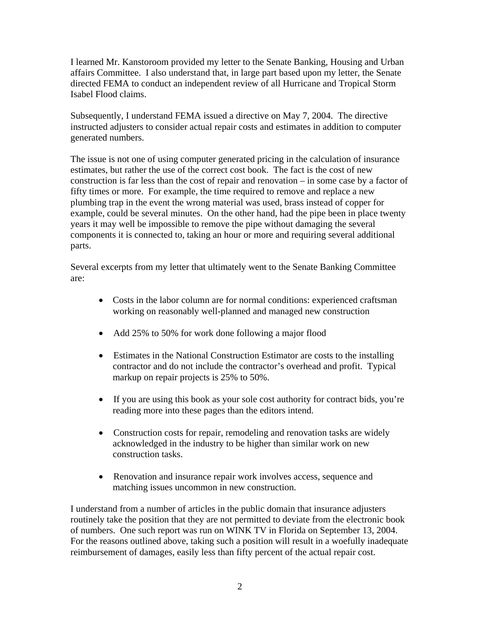I learned Mr. Kanstoroom provided my letter to the Senate Banking, Housing and Urban affairs Committee. I also understand that, in large part based upon my letter, the Senate directed FEMA to conduct an independent review of all Hurricane and Tropical Storm Isabel Flood claims.

Subsequently, I understand FEMA issued a directive on May 7, 2004. The directive instructed adjusters to consider actual repair costs and estimates in addition to computer generated numbers.

The issue is not one of using computer generated pricing in the calculation of insurance estimates, but rather the use of the correct cost book. The fact is the cost of new construction is far less than the cost of repair and renovation – in some case by a factor of fifty times or more. For example, the time required to remove and replace a new plumbing trap in the event the wrong material was used, brass instead of copper for example, could be several minutes. On the other hand, had the pipe been in place twenty years it may well be impossible to remove the pipe without damaging the several components it is connected to, taking an hour or more and requiring several additional parts.

Several excerpts from my letter that ultimately went to the Senate Banking Committee are:

- Costs in the labor column are for normal conditions: experienced craftsman working on reasonably well-planned and managed new construction
- Add 25% to 50% for work done following a major flood
- Estimates in the National Construction Estimator are costs to the installing contractor and do not include the contractor's overhead and profit. Typical markup on repair projects is 25% to 50%.
- If you are using this book as your sole cost authority for contract bids, you're reading more into these pages than the editors intend.
- Construction costs for repair, remodeling and renovation tasks are widely acknowledged in the industry to be higher than similar work on new construction tasks.
- Renovation and insurance repair work involves access, sequence and matching issues uncommon in new construction.

I understand from a number of articles in the public domain that insurance adjusters routinely take the position that they are not permitted to deviate from the electronic book of numbers. One such report was run on WINK TV in Florida on September 13, 2004. For the reasons outlined above, taking such a position will result in a woefully inadequate reimbursement of damages, easily less than fifty percent of the actual repair cost.